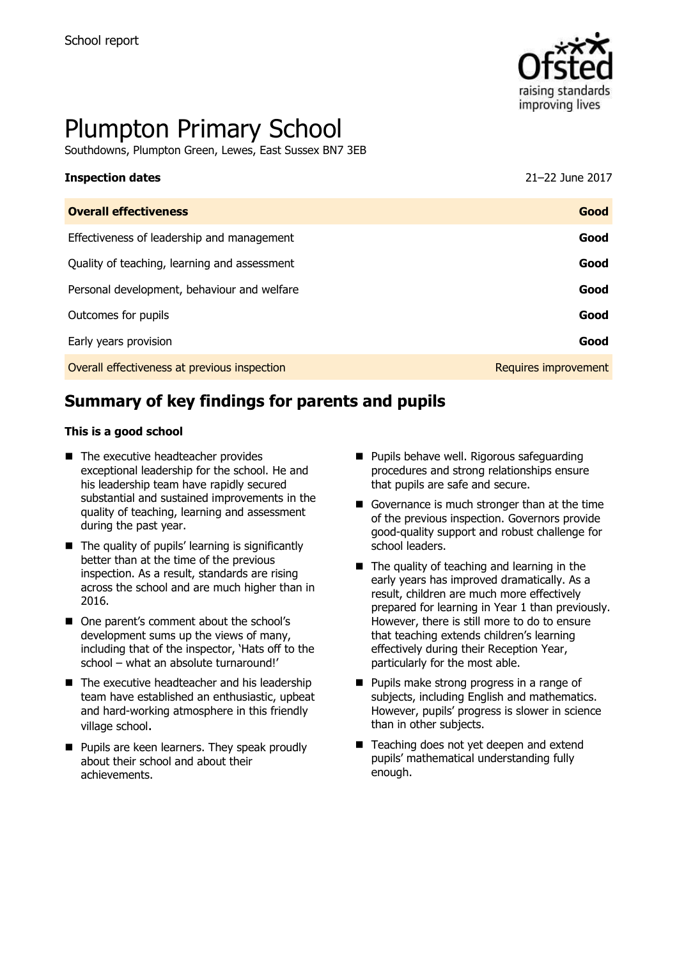

# Plumpton Primary School

Southdowns, Plumpton Green, Lewes, East Sussex BN7 3EB

| 21-22 June 2017      |
|----------------------|
| Good                 |
| Good                 |
| Good                 |
| Good                 |
| Good                 |
| Good                 |
| Requires improvement |
|                      |

# **Summary of key findings for parents and pupils**

#### **This is a good school**

- The executive headteacher provides exceptional leadership for the school. He and his leadership team have rapidly secured substantial and sustained improvements in the quality of teaching, learning and assessment during the past year.
- $\blacksquare$  The quality of pupils' learning is significantly better than at the time of the previous inspection. As a result, standards are rising across the school and are much higher than in 2016.
- One parent's comment about the school's development sums up the views of many, including that of the inspector, 'Hats off to the school – what an absolute turnaround!'
- $\blacksquare$  The executive headteacher and his leadership team have established an enthusiastic, upbeat and hard-working atmosphere in this friendly village school.
- **Pupils are keen learners. They speak proudly** about their school and about their achievements.
- **Pupils behave well. Rigorous safeguarding** procedures and strong relationships ensure that pupils are safe and secure.
- Governance is much stronger than at the time of the previous inspection. Governors provide good-quality support and robust challenge for school leaders.
- $\blacksquare$  The quality of teaching and learning in the early years has improved dramatically. As a result, children are much more effectively prepared for learning in Year 1 than previously. However, there is still more to do to ensure that teaching extends children's learning effectively during their Reception Year, particularly for the most able.
- **Pupils make strong progress in a range of** subjects, including English and mathematics. However, pupils' progress is slower in science than in other subjects.
- Teaching does not yet deepen and extend pupils' mathematical understanding fully enough.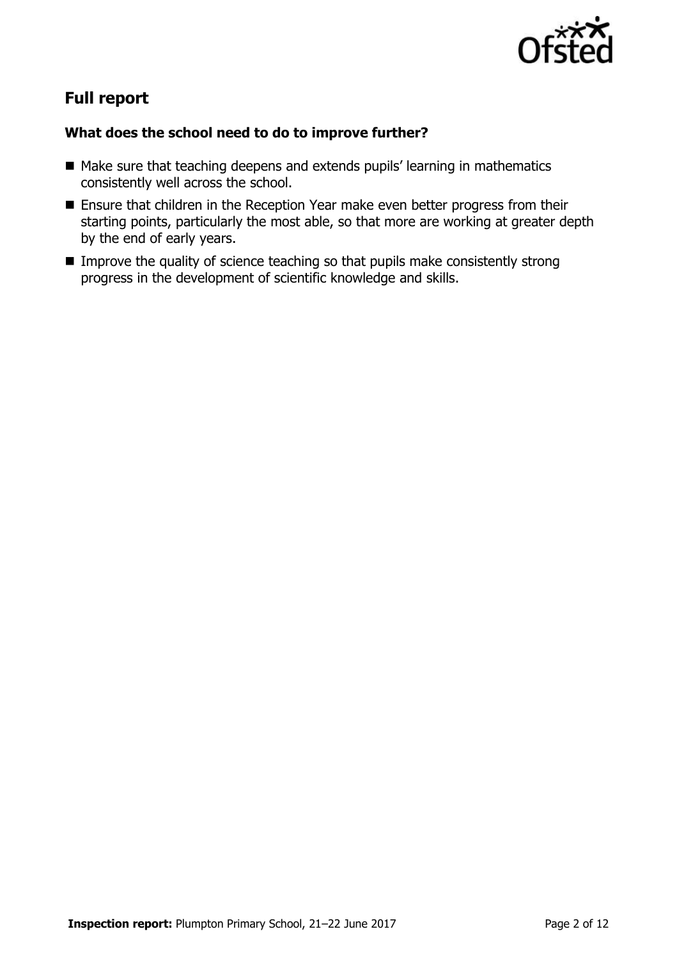

# **Full report**

#### **What does the school need to do to improve further?**

- Make sure that teaching deepens and extends pupils' learning in mathematics consistently well across the school.
- **Ensure that children in the Reception Year make even better progress from their** starting points, particularly the most able, so that more are working at greater depth by the end of early years.
- **IMPROVE the quality of science teaching so that pupils make consistently strong** progress in the development of scientific knowledge and skills.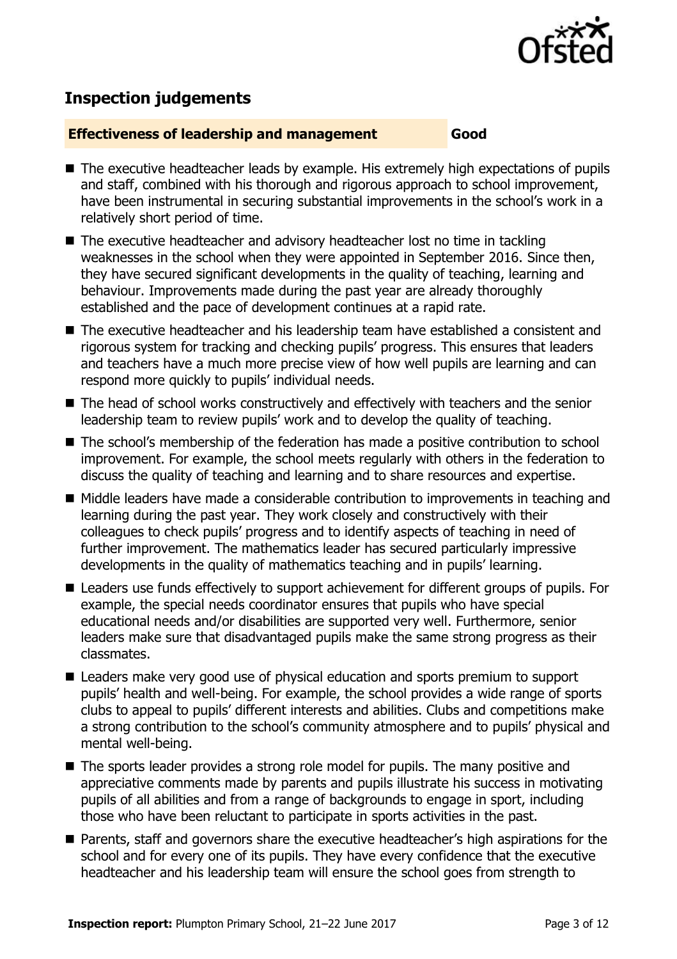

# **Inspection judgements**

#### **Effectiveness of leadership and management Good**

- The executive headteacher leads by example. His extremely high expectations of pupils and staff, combined with his thorough and rigorous approach to school improvement, have been instrumental in securing substantial improvements in the school's work in a relatively short period of time.
- The executive headteacher and advisory headteacher lost no time in tackling weaknesses in the school when they were appointed in September 2016. Since then, they have secured significant developments in the quality of teaching, learning and behaviour. Improvements made during the past year are already thoroughly established and the pace of development continues at a rapid rate.
- The executive headteacher and his leadership team have established a consistent and rigorous system for tracking and checking pupils' progress. This ensures that leaders and teachers have a much more precise view of how well pupils are learning and can respond more quickly to pupils' individual needs.
- The head of school works constructively and effectively with teachers and the senior leadership team to review pupils' work and to develop the quality of teaching.
- The school's membership of the federation has made a positive contribution to school improvement. For example, the school meets regularly with others in the federation to discuss the quality of teaching and learning and to share resources and expertise.
- Middle leaders have made a considerable contribution to improvements in teaching and learning during the past year. They work closely and constructively with their colleagues to check pupils' progress and to identify aspects of teaching in need of further improvement. The mathematics leader has secured particularly impressive developments in the quality of mathematics teaching and in pupils' learning.
- Leaders use funds effectively to support achievement for different groups of pupils. For example, the special needs coordinator ensures that pupils who have special educational needs and/or disabilities are supported very well. Furthermore, senior leaders make sure that disadvantaged pupils make the same strong progress as their classmates.
- Leaders make very good use of physical education and sports premium to support pupils' health and well-being. For example, the school provides a wide range of sports clubs to appeal to pupils' different interests and abilities. Clubs and competitions make a strong contribution to the school's community atmosphere and to pupils' physical and mental well-being.
- The sports leader provides a strong role model for pupils. The many positive and appreciative comments made by parents and pupils illustrate his success in motivating pupils of all abilities and from a range of backgrounds to engage in sport, including those who have been reluctant to participate in sports activities in the past.
- Parents, staff and governors share the executive headteacher's high aspirations for the school and for every one of its pupils. They have every confidence that the executive headteacher and his leadership team will ensure the school goes from strength to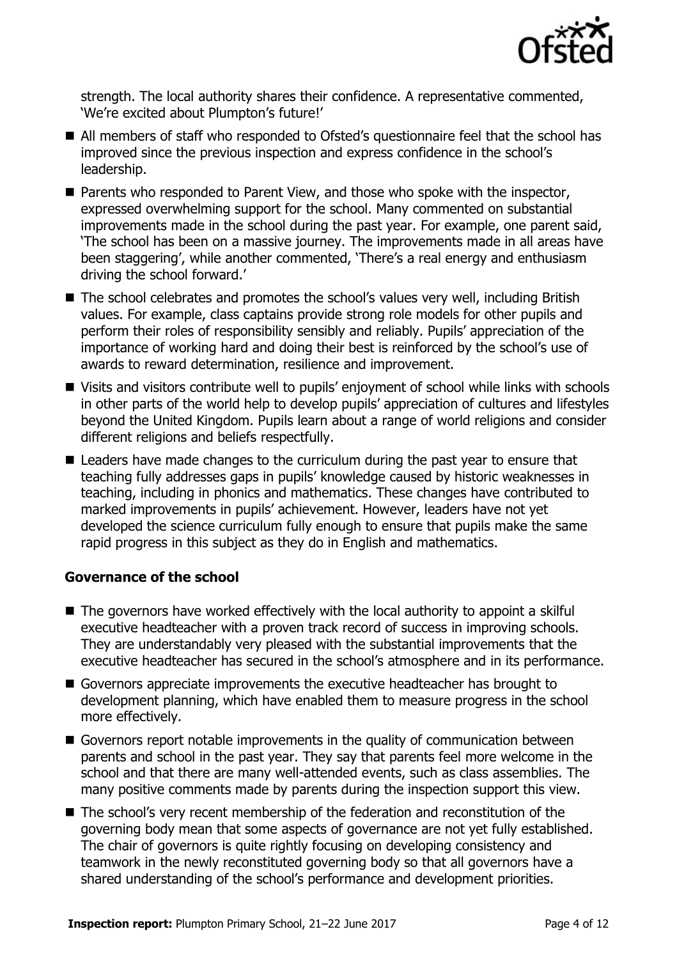

strength. The local authority shares their confidence. A representative commented, 'We're excited about Plumpton's future!'

- All members of staff who responded to Ofsted's questionnaire feel that the school has improved since the previous inspection and express confidence in the school's leadership.
- Parents who responded to Parent View, and those who spoke with the inspector, expressed overwhelming support for the school. Many commented on substantial improvements made in the school during the past year. For example, one parent said, 'The school has been on a massive journey. The improvements made in all areas have been staggering', while another commented, 'There's a real energy and enthusiasm driving the school forward.'
- The school celebrates and promotes the school's values very well, including British values. For example, class captains provide strong role models for other pupils and perform their roles of responsibility sensibly and reliably. Pupils' appreciation of the importance of working hard and doing their best is reinforced by the school's use of awards to reward determination, resilience and improvement.
- Visits and visitors contribute well to pupils' enjoyment of school while links with schools in other parts of the world help to develop pupils' appreciation of cultures and lifestyles beyond the United Kingdom. Pupils learn about a range of world religions and consider different religions and beliefs respectfully.
- Leaders have made changes to the curriculum during the past year to ensure that teaching fully addresses gaps in pupils' knowledge caused by historic weaknesses in teaching, including in phonics and mathematics. These changes have contributed to marked improvements in pupils' achievement. However, leaders have not yet developed the science curriculum fully enough to ensure that pupils make the same rapid progress in this subject as they do in English and mathematics.

#### **Governance of the school**

- The governors have worked effectively with the local authority to appoint a skilful executive headteacher with a proven track record of success in improving schools. They are understandably very pleased with the substantial improvements that the executive headteacher has secured in the school's atmosphere and in its performance.
- Governors appreciate improvements the executive headteacher has brought to development planning, which have enabled them to measure progress in the school more effectively.
- Governors report notable improvements in the quality of communication between parents and school in the past year. They say that parents feel more welcome in the school and that there are many well-attended events, such as class assemblies. The many positive comments made by parents during the inspection support this view.
- The school's very recent membership of the federation and reconstitution of the governing body mean that some aspects of governance are not yet fully established. The chair of governors is quite rightly focusing on developing consistency and teamwork in the newly reconstituted governing body so that all governors have a shared understanding of the school's performance and development priorities.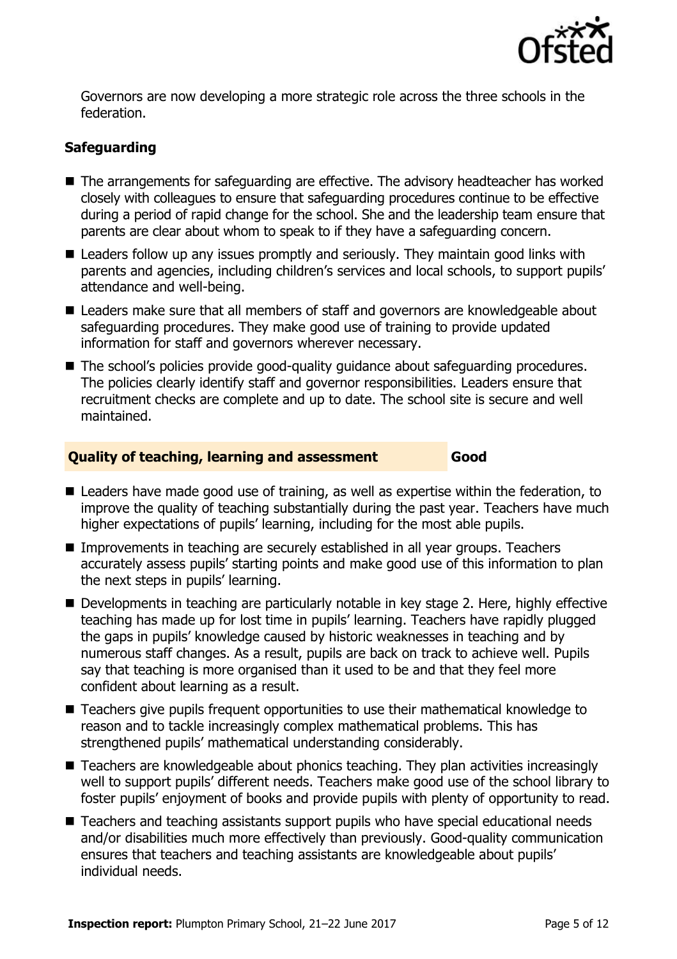

Governors are now developing a more strategic role across the three schools in the federation.

### **Safeguarding**

- The arrangements for safeguarding are effective. The advisory headteacher has worked closely with colleagues to ensure that safeguarding procedures continue to be effective during a period of rapid change for the school. She and the leadership team ensure that parents are clear about whom to speak to if they have a safeguarding concern.
- Leaders follow up any issues promptly and seriously. They maintain good links with parents and agencies, including children's services and local schools, to support pupils' attendance and well-being.
- Leaders make sure that all members of staff and governors are knowledgeable about safeguarding procedures. They make good use of training to provide updated information for staff and governors wherever necessary.
- The school's policies provide good-quality quidance about safeguarding procedures. The policies clearly identify staff and governor responsibilities. Leaders ensure that recruitment checks are complete and up to date. The school site is secure and well maintained.

#### **Quality of teaching, learning and assessment Good**

- Leaders have made good use of training, as well as expertise within the federation, to improve the quality of teaching substantially during the past year. Teachers have much higher expectations of pupils' learning, including for the most able pupils.
- Improvements in teaching are securely established in all year groups. Teachers accurately assess pupils' starting points and make good use of this information to plan the next steps in pupils' learning.
- Developments in teaching are particularly notable in key stage 2. Here, highly effective teaching has made up for lost time in pupils' learning. Teachers have rapidly plugged the gaps in pupils' knowledge caused by historic weaknesses in teaching and by numerous staff changes. As a result, pupils are back on track to achieve well. Pupils say that teaching is more organised than it used to be and that they feel more confident about learning as a result.
- Teachers give pupils frequent opportunities to use their mathematical knowledge to reason and to tackle increasingly complex mathematical problems. This has strengthened pupils' mathematical understanding considerably.
- Teachers are knowledgeable about phonics teaching. They plan activities increasingly well to support pupils' different needs. Teachers make good use of the school library to foster pupils' enjoyment of books and provide pupils with plenty of opportunity to read.
- Teachers and teaching assistants support pupils who have special educational needs and/or disabilities much more effectively than previously. Good-quality communication ensures that teachers and teaching assistants are knowledgeable about pupils' individual needs.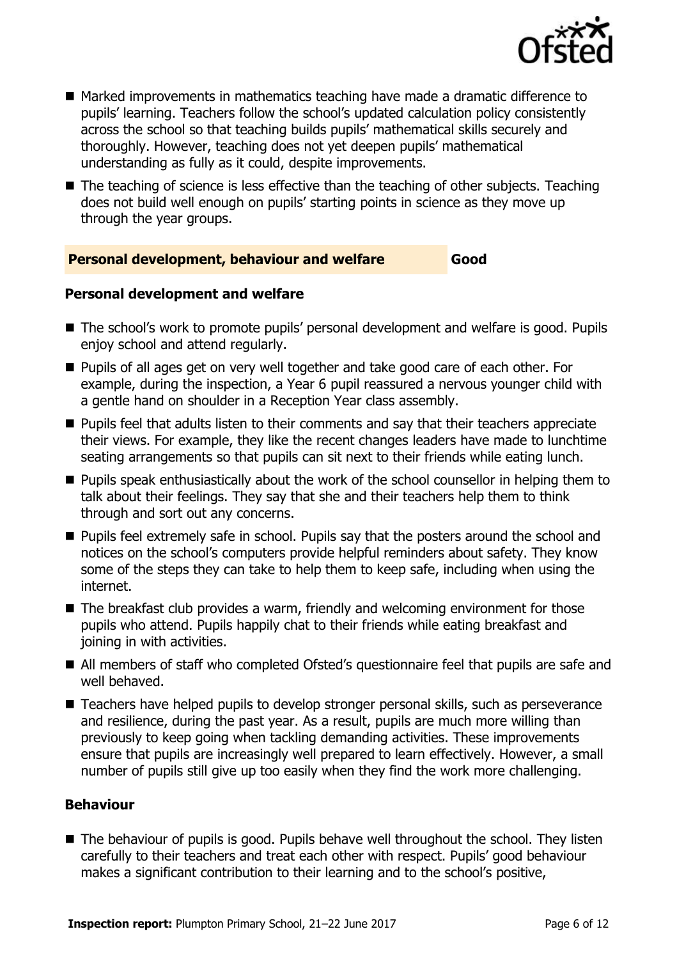

- Marked improvements in mathematics teaching have made a dramatic difference to pupils' learning. Teachers follow the school's updated calculation policy consistently across the school so that teaching builds pupils' mathematical skills securely and thoroughly. However, teaching does not yet deepen pupils' mathematical understanding as fully as it could, despite improvements.
- The teaching of science is less effective than the teaching of other subjects. Teaching does not build well enough on pupils' starting points in science as they move up through the year groups.

#### **Personal development, behaviour and welfare Good**

#### **Personal development and welfare**

- The school's work to promote pupils' personal development and welfare is good. Pupils enjoy school and attend regularly.
- **Pupils of all ages get on very well together and take good care of each other. For** example, during the inspection, a Year 6 pupil reassured a nervous younger child with a gentle hand on shoulder in a Reception Year class assembly.
- **Pupils feel that adults listen to their comments and say that their teachers appreciate** their views. For example, they like the recent changes leaders have made to lunchtime seating arrangements so that pupils can sit next to their friends while eating lunch.
- **Pupils speak enthusiastically about the work of the school counsellor in helping them to** talk about their feelings. They say that she and their teachers help them to think through and sort out any concerns.
- **Pupils feel extremely safe in school. Pupils say that the posters around the school and** notices on the school's computers provide helpful reminders about safety. They know some of the steps they can take to help them to keep safe, including when using the internet.
- The breakfast club provides a warm, friendly and welcoming environment for those pupils who attend. Pupils happily chat to their friends while eating breakfast and joining in with activities.
- All members of staff who completed Ofsted's questionnaire feel that pupils are safe and well behaved.
- Teachers have helped pupils to develop stronger personal skills, such as perseverance and resilience, during the past year. As a result, pupils are much more willing than previously to keep going when tackling demanding activities. These improvements ensure that pupils are increasingly well prepared to learn effectively. However, a small number of pupils still give up too easily when they find the work more challenging.

#### **Behaviour**

■ The behaviour of pupils is good. Pupils behave well throughout the school. They listen carefully to their teachers and treat each other with respect. Pupils' good behaviour makes a significant contribution to their learning and to the school's positive,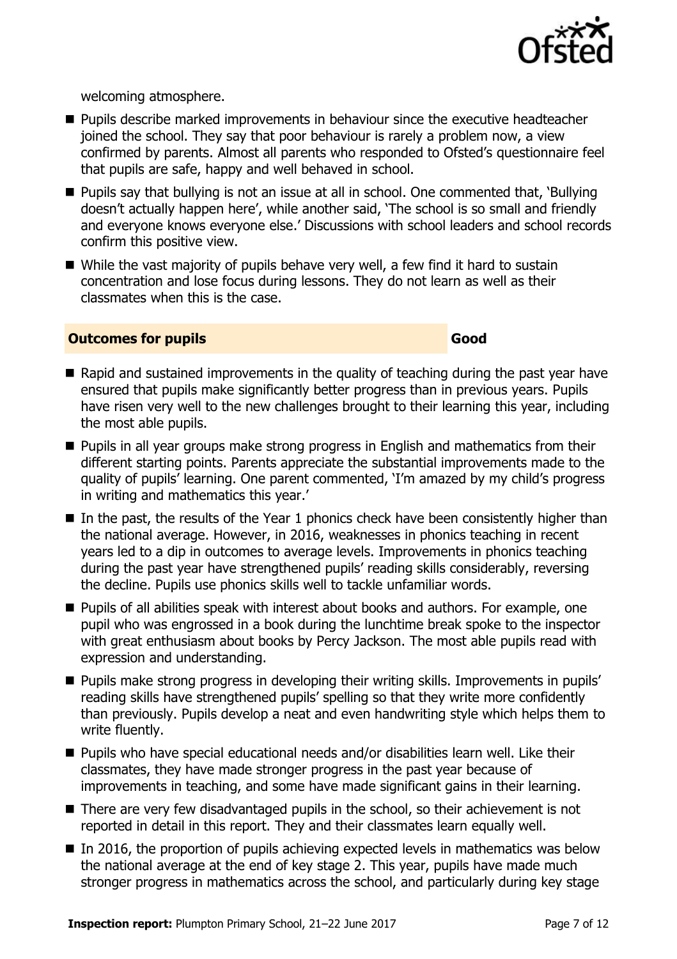

welcoming atmosphere.

- **Pupils describe marked improvements in behaviour since the executive headteacher** joined the school. They say that poor behaviour is rarely a problem now, a view confirmed by parents. Almost all parents who responded to Ofsted's questionnaire feel that pupils are safe, happy and well behaved in school.
- Pupils say that bullying is not an issue at all in school. One commented that, 'Bullying doesn't actually happen here', while another said, 'The school is so small and friendly and everyone knows everyone else.' Discussions with school leaders and school records confirm this positive view.
- While the vast majority of pupils behave very well, a few find it hard to sustain concentration and lose focus during lessons. They do not learn as well as their classmates when this is the case.

#### **Outcomes for pupils Good**

- $\blacksquare$  Rapid and sustained improvements in the quality of teaching during the past year have ensured that pupils make significantly better progress than in previous years. Pupils have risen very well to the new challenges brought to their learning this year, including the most able pupils.
- **Pupils in all year groups make strong progress in English and mathematics from their** different starting points. Parents appreciate the substantial improvements made to the quality of pupils' learning. One parent commented, 'I'm amazed by my child's progress in writing and mathematics this year.'
- $\blacksquare$  In the past, the results of the Year 1 phonics check have been consistently higher than the national average. However, in 2016, weaknesses in phonics teaching in recent years led to a dip in outcomes to average levels. Improvements in phonics teaching during the past year have strengthened pupils' reading skills considerably, reversing the decline. Pupils use phonics skills well to tackle unfamiliar words.
- **Pupils of all abilities speak with interest about books and authors. For example, one** pupil who was engrossed in a book during the lunchtime break spoke to the inspector with great enthusiasm about books by Percy Jackson. The most able pupils read with expression and understanding.
- **Pupils make strong progress in developing their writing skills. Improvements in pupils'** reading skills have strengthened pupils' spelling so that they write more confidently than previously. Pupils develop a neat and even handwriting style which helps them to write fluently.
- Pupils who have special educational needs and/or disabilities learn well. Like their classmates, they have made stronger progress in the past year because of improvements in teaching, and some have made significant gains in their learning.
- There are very few disadvantaged pupils in the school, so their achievement is not reported in detail in this report. They and their classmates learn equally well.
- $\blacksquare$  In 2016, the proportion of pupils achieving expected levels in mathematics was below the national average at the end of key stage 2. This year, pupils have made much stronger progress in mathematics across the school, and particularly during key stage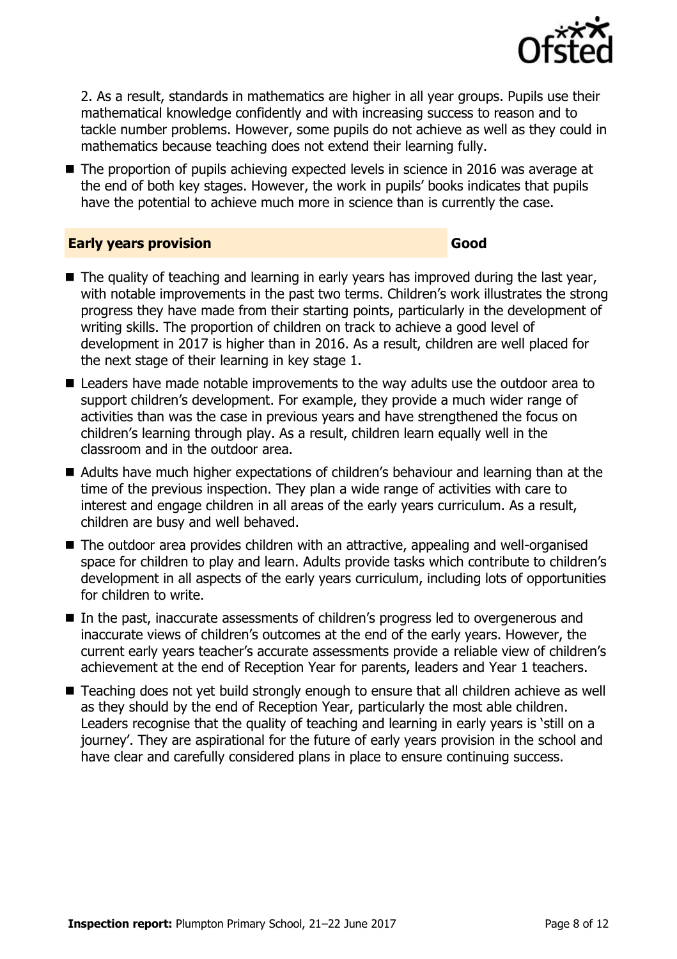

2. As a result, standards in mathematics are higher in all year groups. Pupils use their mathematical knowledge confidently and with increasing success to reason and to tackle number problems. However, some pupils do not achieve as well as they could in mathematics because teaching does not extend their learning fully.

■ The proportion of pupils achieving expected levels in science in 2016 was average at the end of both key stages. However, the work in pupils' books indicates that pupils have the potential to achieve much more in science than is currently the case.

#### **Early years provision Good**

- $\blacksquare$  The quality of teaching and learning in early years has improved during the last year, with notable improvements in the past two terms. Children's work illustrates the strong progress they have made from their starting points, particularly in the development of writing skills. The proportion of children on track to achieve a good level of development in 2017 is higher than in 2016. As a result, children are well placed for the next stage of their learning in key stage 1.
- Leaders have made notable improvements to the way adults use the outdoor area to support children's development. For example, they provide a much wider range of activities than was the case in previous years and have strengthened the focus on children's learning through play. As a result, children learn equally well in the classroom and in the outdoor area.
- Adults have much higher expectations of children's behaviour and learning than at the time of the previous inspection. They plan a wide range of activities with care to interest and engage children in all areas of the early years curriculum. As a result, children are busy and well behaved.
- The outdoor area provides children with an attractive, appealing and well-organised space for children to play and learn. Adults provide tasks which contribute to children's development in all aspects of the early years curriculum, including lots of opportunities for children to write.
- In the past, inaccurate assessments of children's progress led to overgenerous and inaccurate views of children's outcomes at the end of the early years. However, the current early years teacher's accurate assessments provide a reliable view of children's achievement at the end of Reception Year for parents, leaders and Year 1 teachers.
- Teaching does not yet build strongly enough to ensure that all children achieve as well as they should by the end of Reception Year, particularly the most able children. Leaders recognise that the quality of teaching and learning in early years is 'still on a journey'. They are aspirational for the future of early years provision in the school and have clear and carefully considered plans in place to ensure continuing success.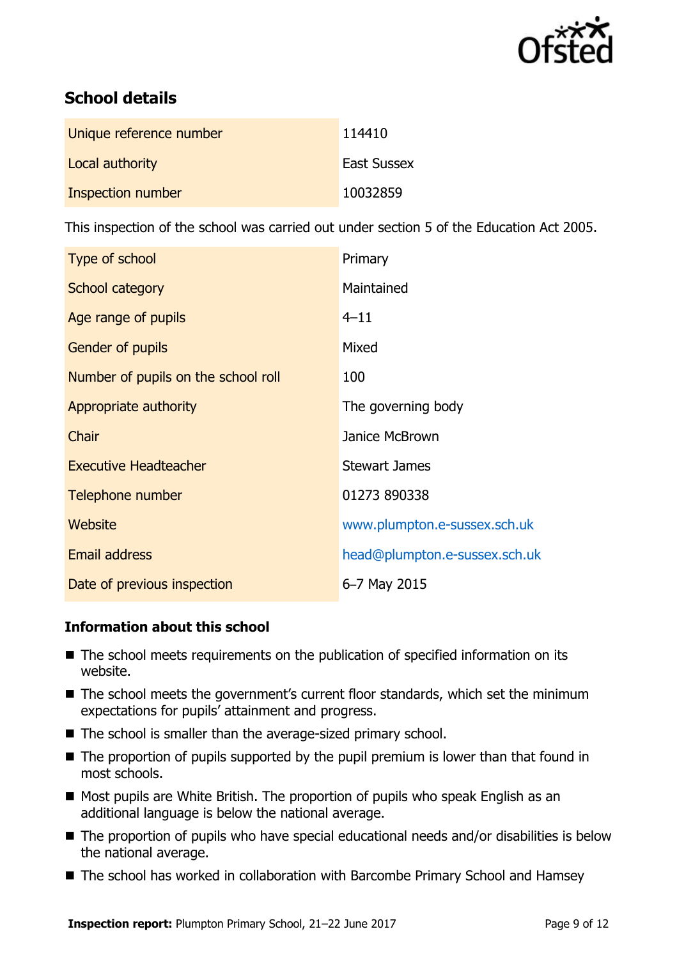

# **School details**

| Unique reference number | 114410             |
|-------------------------|--------------------|
| Local authority         | <b>East Sussex</b> |
| Inspection number       | 10032859           |

This inspection of the school was carried out under section 5 of the Education Act 2005.

| Type of school                      | Primary                       |
|-------------------------------------|-------------------------------|
| School category                     | Maintained                    |
| Age range of pupils                 | $4 - 11$                      |
| <b>Gender of pupils</b>             | Mixed                         |
| Number of pupils on the school roll | 100                           |
| Appropriate authority               | The governing body            |
| Chair                               | Janice McBrown                |
| <b>Executive Headteacher</b>        | <b>Stewart James</b>          |
| Telephone number                    | 01273 890338                  |
| Website                             | www.plumpton.e-sussex.sch.uk  |
| Email address                       | head@plumpton.e-sussex.sch.uk |
| Date of previous inspection         | 6-7 May 2015                  |

#### **Information about this school**

- The school meets requirements on the publication of specified information on its website.
- The school meets the government's current floor standards, which set the minimum expectations for pupils' attainment and progress.
- The school is smaller than the average-sized primary school.
- $\blacksquare$  The proportion of pupils supported by the pupil premium is lower than that found in most schools.
- Most pupils are White British. The proportion of pupils who speak English as an additional language is below the national average.
- The proportion of pupils who have special educational needs and/or disabilities is below the national average.
- The school has worked in collaboration with Barcombe Primary School and Hamsey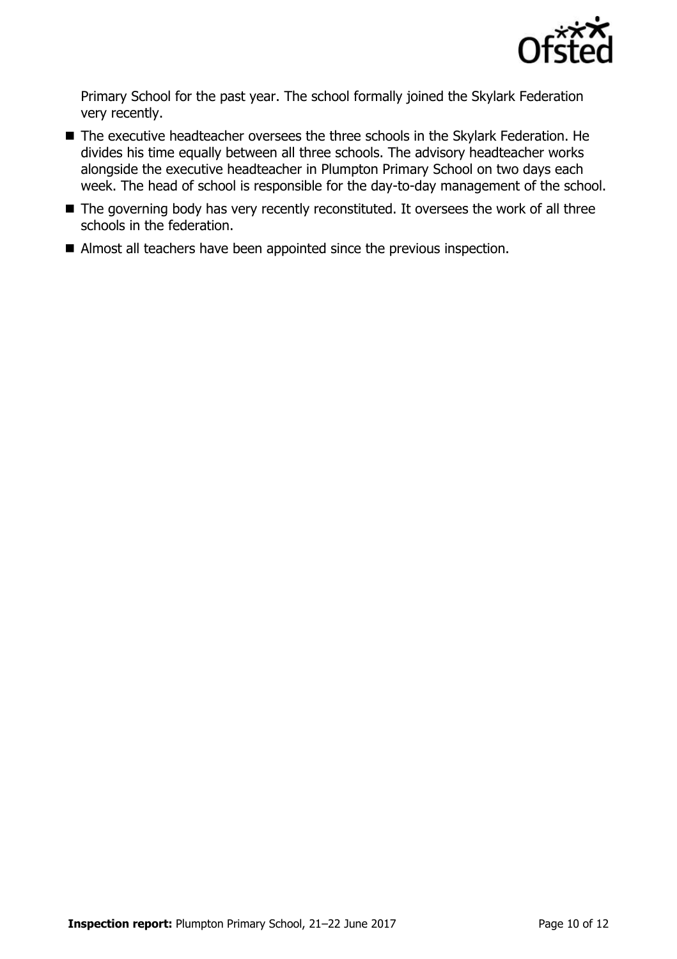

Primary School for the past year. The school formally joined the Skylark Federation very recently.

- The executive headteacher oversees the three schools in the Skylark Federation. He divides his time equally between all three schools. The advisory headteacher works alongside the executive headteacher in Plumpton Primary School on two days each week. The head of school is responsible for the day-to-day management of the school.
- The governing body has very recently reconstituted. It oversees the work of all three schools in the federation.
- Almost all teachers have been appointed since the previous inspection.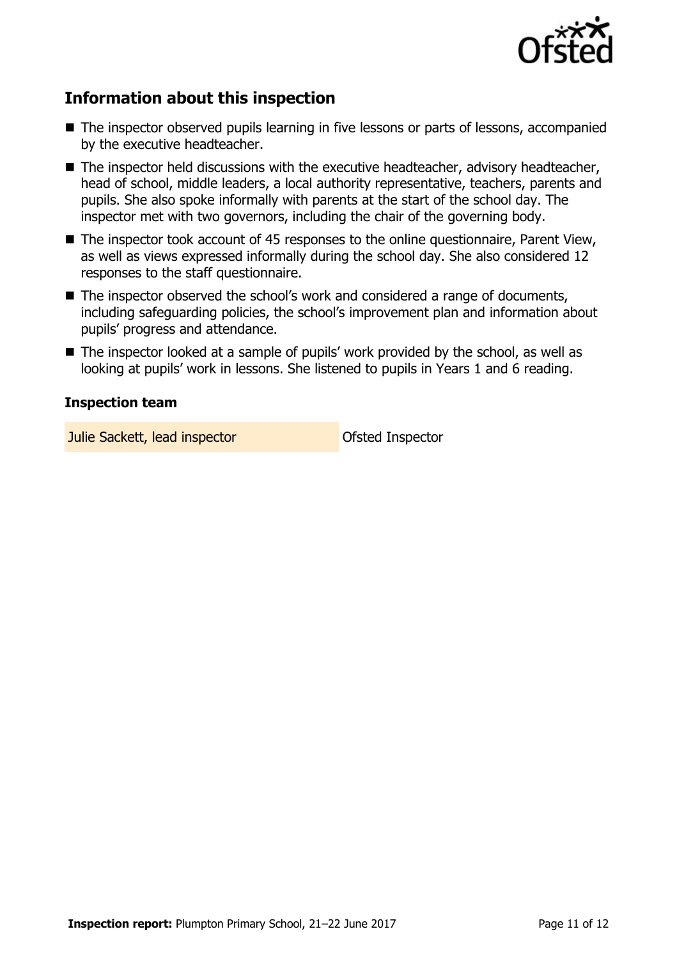

# **Information about this inspection**

- The inspector observed pupils learning in five lessons or parts of lessons, accompanied by the executive headteacher.
- The inspector held discussions with the executive headteacher, advisory headteacher, head of school, middle leaders, a local authority representative, teachers, parents and pupils. She also spoke informally with parents at the start of the school day. The inspector met with two governors, including the chair of the governing body.
- The inspector took account of 45 responses to the online questionnaire, Parent View, as well as views expressed informally during the school day. She also considered 12 responses to the staff questionnaire.
- The inspector observed the school's work and considered a range of documents, including safeguarding policies, the school's improvement plan and information about pupils' progress and attendance.
- The inspector looked at a sample of pupils' work provided by the school, as well as looking at pupils' work in lessons. She listened to pupils in Years 1 and 6 reading.

### **Inspection team**

**Julie Sackett, lead inspector Constanting Ofsted Inspector**